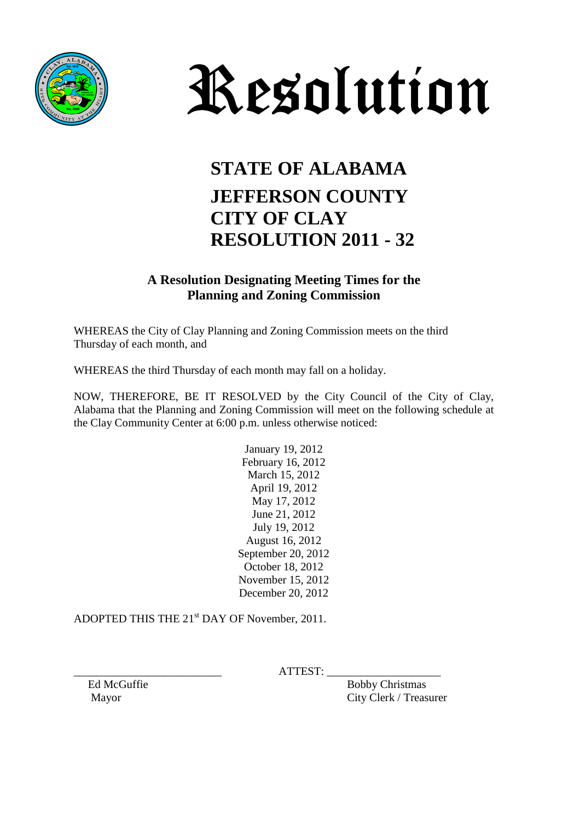



## **STATE OF ALABAMA JEFFERSON COUNTY CITY OF CLAY RESOLUTION 2011 - 32**

## **A Resolution Designating Meeting Times for the Planning and Zoning Commission**

WHEREAS the City of Clay Planning and Zoning Commission meets on the third Thursday of each month, and

WHEREAS the third Thursday of each month may fall on a holiday.

NOW, THEREFORE, BE IT RESOLVED by the City Council of the City of Clay, Alabama that the Planning and Zoning Commission will meet on the following schedule at the Clay Community Center at 6:00 p.m. unless otherwise noticed:

> January 19, 2012 February 16, 2012 March 15, 2012 April 19, 2012 May 17, 2012 June 21, 2012 July 19, 2012 August 16, 2012 September 20, 2012 October 18, 2012 November 15, 2012 December 20, 2012

ADOPTED THIS THE 21<sup>st</sup> DAY OF November, 2011.

 $ATTEST:$ 

Ed McGuffie Bobby Christmas Mayor City Clerk / Treasurer